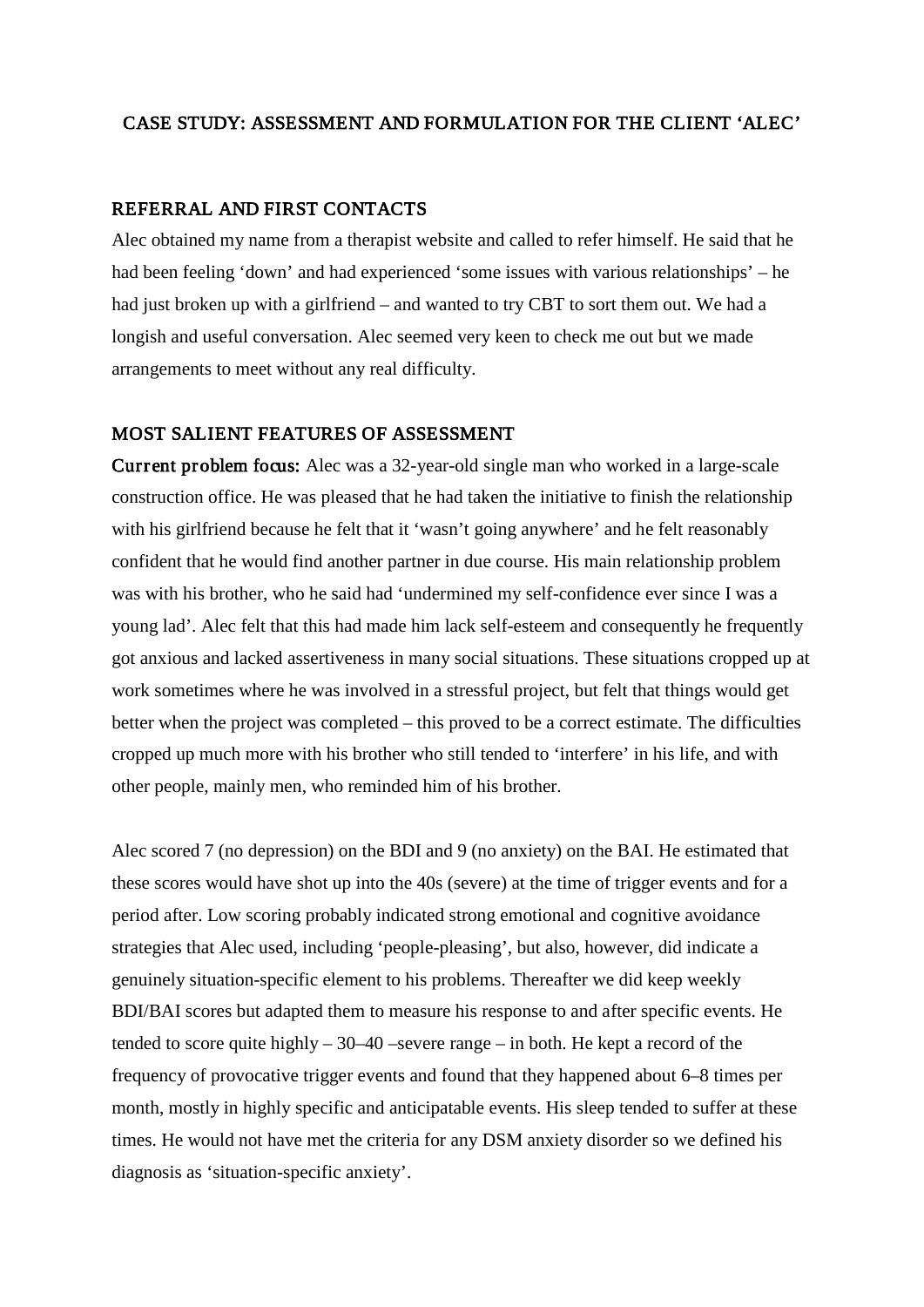### CASE STUDY: ASSESSMENT AND FORMULATION FOR THE CLIENT 'ALEC'

### REFERRAL AND FIRST CONTACTS

Alec obtained my name from a therapist website and called to refer himself. He said that he had been feeling 'down' and had experienced 'some issues with various relationships' – he had just broken up with a girlfriend – and wanted to try CBT to sort them out. We had a longish and useful conversation. Alec seemed very keen to check me out but we made arrangements to meet without any real difficulty.

## MOST SALIENT FEATURES OF ASSESSMENT

Current problem focus: Alec was a 32-year-old single man who worked in a large-scale construction office. He was pleased that he had taken the initiative to finish the relationship with his girlfriend because he felt that it 'wasn't going anywhere' and he felt reasonably confident that he would find another partner in due course. His main relationship problem was with his brother, who he said had 'undermined my self-confidence ever since I was a young lad'. Alec felt that this had made him lack self-esteem and consequently he frequently got anxious and lacked assertiveness in many social situations. These situations cropped up at work sometimes where he was involved in a stressful project, but felt that things would get better when the project was completed – this proved to be a correct estimate. The difficulties cropped up much more with his brother who still tended to 'interfere' in his life, and with other people, mainly men, who reminded him of his brother.

Alec scored 7 (no depression) on the BDI and 9 (no anxiety) on the BAI. He estimated that these scores would have shot up into the 40s (severe) at the time of trigger events and for a period after. Low scoring probably indicated strong emotional and cognitive avoidance strategies that Alec used, including 'people-pleasing', but also, however, did indicate a genuinely situation-specific element to his problems. Thereafter we did keep weekly BDI/BAI scores but adapted them to measure his response to and after specific events. He tended to score quite highly  $-30-40$  –severe range – in both. He kept a record of the frequency of provocative trigger events and found that they happened about 6–8 times per month, mostly in highly specific and anticipatable events. His sleep tended to suffer at these times. He would not have met the criteria for any DSM anxiety disorder so we defined his diagnosis as 'situation-specific anxiety'.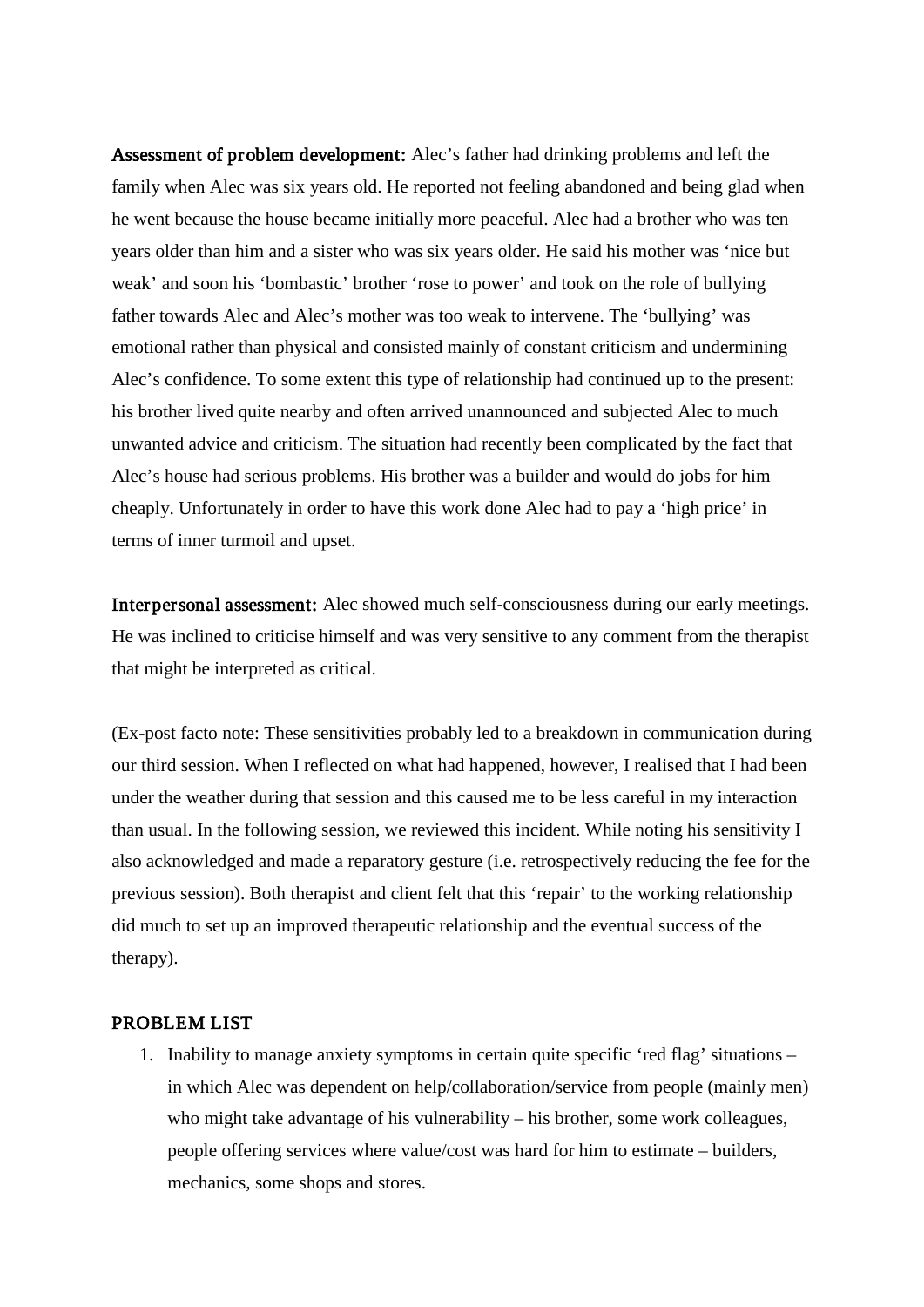Assessment of problem development: Alec's father had drinking problems and left the family when Alec was six years old. He reported not feeling abandoned and being glad when he went because the house became initially more peaceful. Alec had a brother who was ten years older than him and a sister who was six years older. He said his mother was 'nice but weak' and soon his 'bombastic' brother 'rose to power' and took on the role of bullying father towards Alec and Alec's mother was too weak to intervene. The 'bullying' was emotional rather than physical and consisted mainly of constant criticism and undermining Alec's confidence. To some extent this type of relationship had continued up to the present: his brother lived quite nearby and often arrived unannounced and subjected Alec to much unwanted advice and criticism. The situation had recently been complicated by the fact that Alec's house had serious problems. His brother was a builder and would do jobs for him cheaply. Unfortunately in order to have this work done Alec had to pay a 'high price' in terms of inner turmoil and upset.

Interpersonal assessment: Alec showed much self-consciousness during our early meetings. He was inclined to criticise himself and was very sensitive to any comment from the therapist that might be interpreted as critical.

(Ex-post facto note: These sensitivities probably led to a breakdown in communication during our third session. When I reflected on what had happened, however, I realised that I had been under the weather during that session and this caused me to be less careful in my interaction than usual. In the following session, we reviewed this incident. While noting his sensitivity I also acknowledged and made a reparatory gesture (i.e. retrospectively reducing the fee for the previous session). Both therapist and client felt that this 'repair' to the working relationship did much to set up an improved therapeutic relationship and the eventual success of the therapy).

#### PROBLEM LIST

1. Inability to manage anxiety symptoms in certain quite specific 'red flag' situations – in which Alec was dependent on help/collaboration/service from people (mainly men) who might take advantage of his vulnerability – his brother, some work colleagues, people offering services where value/cost was hard for him to estimate – builders, mechanics, some shops and stores.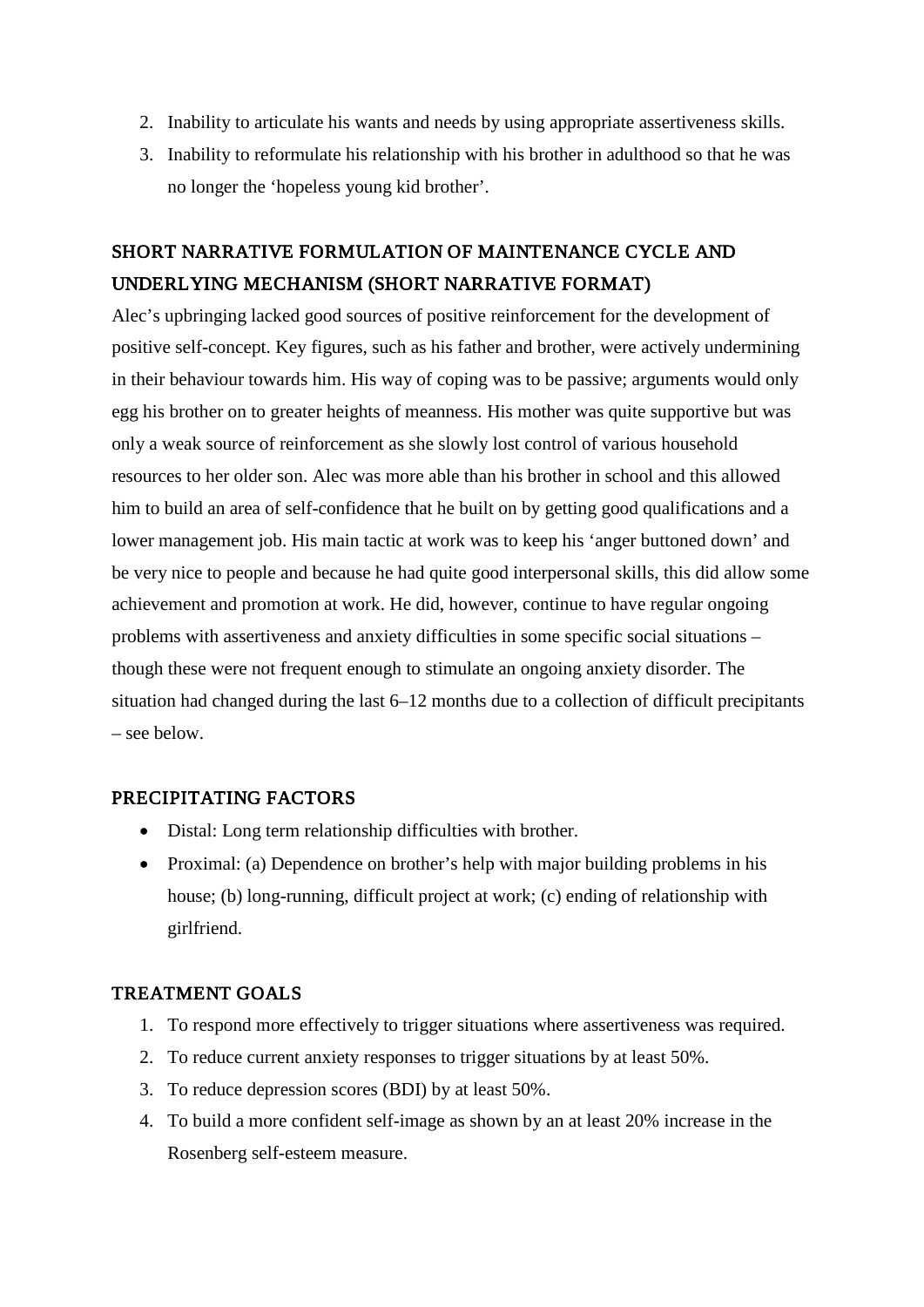- 2. Inability to articulate his wants and needs by using appropriate assertiveness skills.
- 3. Inability to reformulate his relationship with his brother in adulthood so that he was no longer the 'hopeless young kid brother'.

# SHORT NARRATIVE FORMULATION OF MAINTENANCE CYCLE AND UNDERLYING MECHANISM (SHORT NARRATIVE FORMAT)

Alec's upbringing lacked good sources of positive reinforcement for the development of positive self-concept. Key figures, such as his father and brother, were actively undermining in their behaviour towards him. His way of coping was to be passive; arguments would only egg his brother on to greater heights of meanness. His mother was quite supportive but was only a weak source of reinforcement as she slowly lost control of various household resources to her older son. Alec was more able than his brother in school and this allowed him to build an area of self-confidence that he built on by getting good qualifications and a lower management job. His main tactic at work was to keep his 'anger buttoned down' and be very nice to people and because he had quite good interpersonal skills, this did allow some achievement and promotion at work. He did, however, continue to have regular ongoing problems with assertiveness and anxiety difficulties in some specific social situations – though these were not frequent enough to stimulate an ongoing anxiety disorder. The situation had changed during the last 6–12 months due to a collection of difficult precipitants – see below.

# PRECIPITATING FACTORS

- Distal: Long term relationship difficulties with brother.
- Proximal: (a) Dependence on brother's help with major building problems in his house; (b) long-running, difficult project at work; (c) ending of relationship with girlfriend.

# TREATMENT GOALS

- 1. To respond more effectively to trigger situations where assertiveness was required.
- 2. To reduce current anxiety responses to trigger situations by at least 50%.
- 3. To reduce depression scores (BDI) by at least 50%.
- 4. To build a more confident self-image as shown by an at least 20% increase in the Rosenberg self-esteem measure.